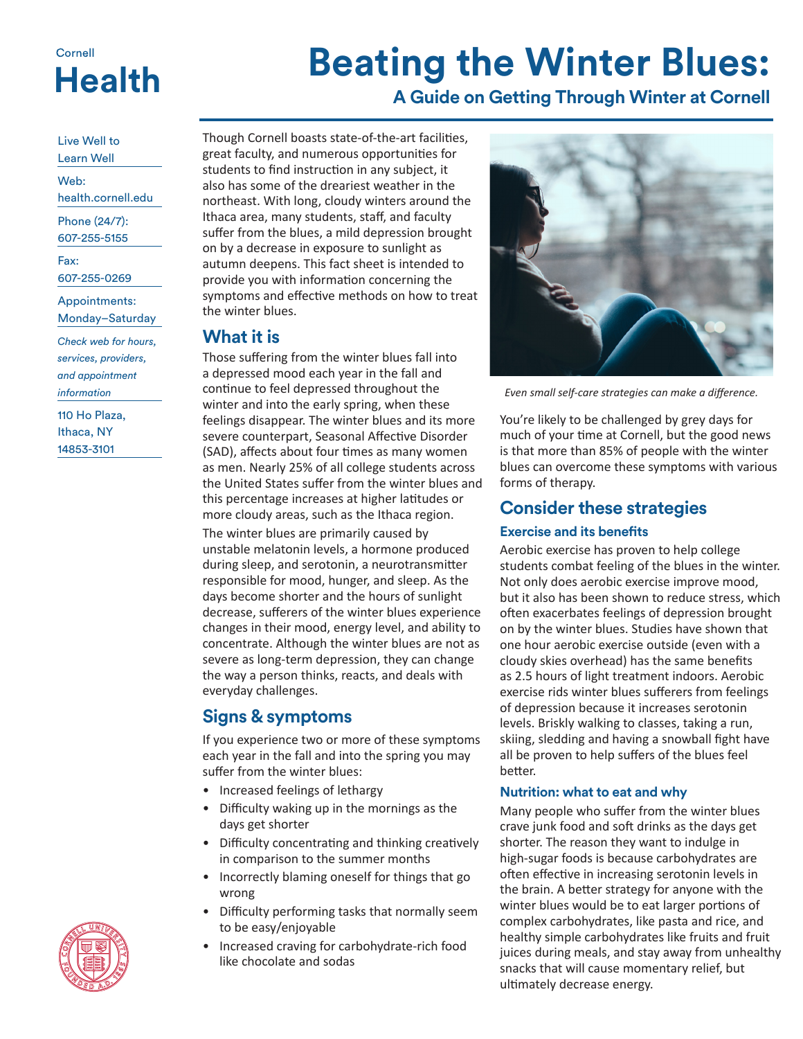## Cornell **Health**

# **Beating the Winter Blues:**

## **A Guide on Getting Through Winter at Cornell**

Live Well to Learn Well

Web:

health.cornell.edu

Phone (24/7): 607-255-5155

Fax:

607-255-0269

Appointments: Monday–Saturday

*Check web for hours, services, providers, and appointment information*

110 Ho Plaza, Ithaca, NY 14853-3101

Though Cornell boasts state-of-the-art facilities, great faculty, and numerous opportunities for students to find instruction in any subject, it also has some of the dreariest weather in the northeast. With long, cloudy winters around the Ithaca area, many students, staff, and faculty suffer from the blues, a mild depression brought on by a decrease in exposure to sunlight as autumn deepens. This fact sheet is intended to provide you with information concerning the symptoms and effective methods on how to treat the winter blues.

### **What it is**

Those suffering from the winter blues fall into a depressed mood each year in the fall and continue to feel depressed throughout the winter and into the early spring, when these feelings disappear. The winter blues and its more severe counterpart, Seasonal Affective Disorder (SAD), affects about four times as many women as men. Nearly 25% of all college students across the United States suffer from the winter blues and this percentage increases at higher latitudes or more cloudy areas, such as the Ithaca region.

The winter blues are primarily caused by unstable melatonin levels, a hormone produced during sleep, and serotonin, a neurotransmitter responsible for mood, hunger, and sleep. As the days become shorter and the hours of sunlight decrease, sufferers of the winter blues experience changes in their mood, energy level, and ability to concentrate. Although the winter blues are not as severe as long-term depression, they can change the way a person thinks, reacts, and deals with everyday challenges.

## **Signs & symptoms**

If you experience two or more of these symptoms each year in the fall and into the spring you may suffer from the winter blues:

- Increased feelings of lethargy
- Difficulty waking up in the mornings as the days get shorter
- Difficulty concentrating and thinking creatively in comparison to the summer months
- Incorrectly blaming oneself for things that go wrong
- Difficulty performing tasks that normally seem to be easy/enjoyable
- Increased craving for carbohydrate-rich food like chocolate and sodas



*Even small self-care strategies can make a difference.*

You're likely to be challenged by grey days for much of your time at Cornell, but the good news is that more than 85% of people with the winter blues can overcome these symptoms with various forms of therapy.

### **Consider these strategies**

#### **Exercise and its benefits**

Aerobic exercise has proven to help college students combat feeling of the blues in the winter. Not only does aerobic exercise improve mood, but it also has been shown to reduce stress, which often exacerbates feelings of depression brought on by the winter blues. Studies have shown that one hour aerobic exercise outside (even with a cloudy skies overhead) has the same benefits as 2.5 hours of light treatment indoors. Aerobic exercise rids winter blues sufferers from feelings of depression because it increases serotonin levels. Briskly walking to classes, taking a run, skiing, sledding and having a snowball fight have all be proven to help suffers of the blues feel better.

#### **Nutrition: what to eat and why**

Many people who suffer from the winter blues crave junk food and soft drinks as the days get shorter. The reason they want to indulge in high-sugar foods is because carbohydrates are often effective in increasing serotonin levels in the brain. A better strategy for anyone with the winter blues would be to eat larger portions of complex carbohydrates, like pasta and rice, and healthy simple carbohydrates like fruits and fruit juices during meals, and stay away from unhealthy snacks that will cause momentary relief, but ultimately decrease energy.